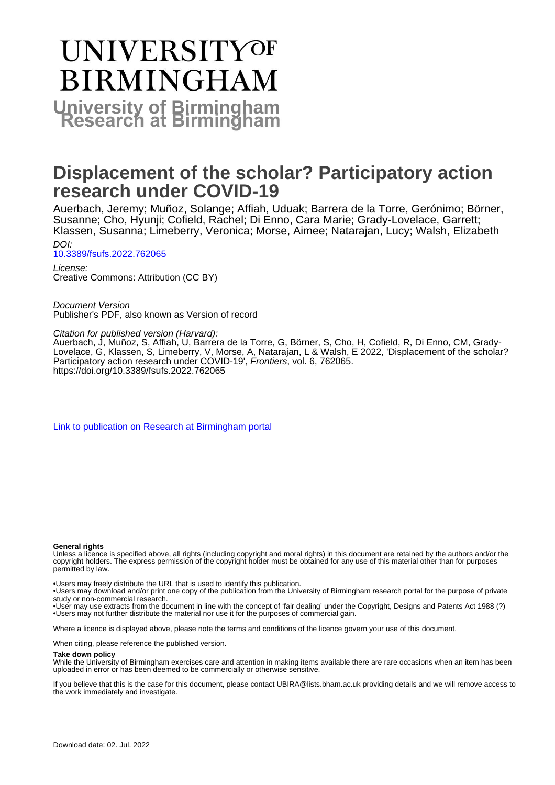# **UNIVERSITYOF BIRMINGHAM University of Birmingham**

### **Displacement of the scholar? Participatory action research under COVID-19**

Auerbach, Jeremy; Muñoz, Solange; Affiah, Uduak; Barrera de la Torre, Gerónimo; Börner, Susanne; Cho, Hyunji; Cofield, Rachel; Di Enno, Cara Marie; Grady-Lovelace, Garrett; Klassen, Susanna; Limeberry, Veronica; Morse, Aimee; Natarajan, Lucy; Walsh, Elizabeth DOI:

[10.3389/fsufs.2022.762065](https://doi.org/10.3389/fsufs.2022.762065) License:

Creative Commons: Attribution (CC BY)

Document Version Publisher's PDF, also known as Version of record

Citation for published version (Harvard):

Auerbach, J, Muñoz, S, Affiah, U, Barrera de la Torre, G, Börner, S, Cho, H, Cofield, R, Di Enno, CM, Grady-Lovelace, G, Klassen, S, Limeberry, V, Morse, A, Natarajan, L & Walsh, E 2022, 'Displacement of the scholar? Participatory action research under COVID-19', Frontiers, vol. 6, 762065. <https://doi.org/10.3389/fsufs.2022.762065>

[Link to publication on Research at Birmingham portal](https://birmingham.elsevierpure.com/en/publications/f3963bcd-b7df-4b52-b0e1-a76166cb375c)

#### **General rights**

Unless a licence is specified above, all rights (including copyright and moral rights) in this document are retained by the authors and/or the copyright holders. The express permission of the copyright holder must be obtained for any use of this material other than for purposes permitted by law.

• Users may freely distribute the URL that is used to identify this publication.

• Users may download and/or print one copy of the publication from the University of Birmingham research portal for the purpose of private study or non-commercial research.

• User may use extracts from the document in line with the concept of 'fair dealing' under the Copyright, Designs and Patents Act 1988 (?) • Users may not further distribute the material nor use it for the purposes of commercial gain.

Where a licence is displayed above, please note the terms and conditions of the licence govern your use of this document.

When citing, please reference the published version.

#### **Take down policy**

While the University of Birmingham exercises care and attention in making items available there are rare occasions when an item has been uploaded in error or has been deemed to be commercially or otherwise sensitive.

If you believe that this is the case for this document, please contact UBIRA@lists.bham.ac.uk providing details and we will remove access to the work immediately and investigate.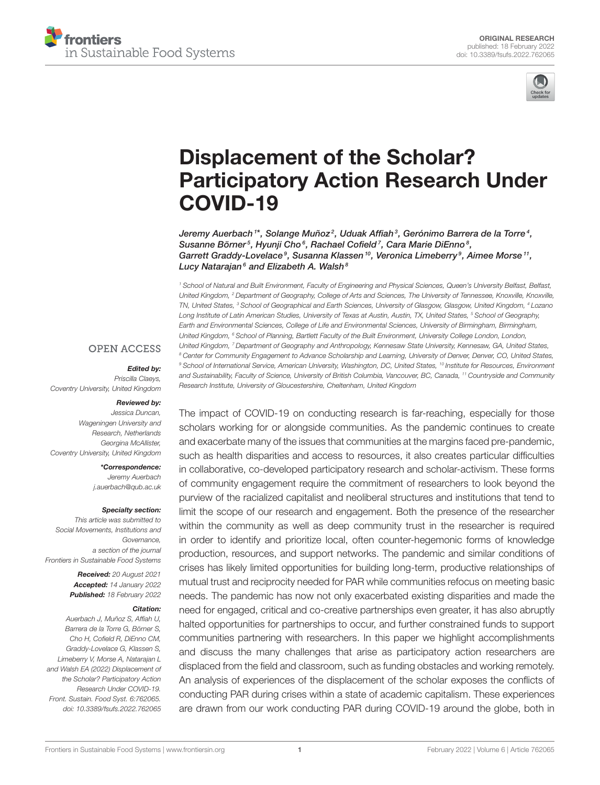



## Displacement of the Scholar? [Participatory Action Research Under](https://www.frontiersin.org/articles/10.3389/fsufs.2022.762065/full) COVID-19

Jeremy Auerbach $^{\prime\ast}$ , Solange Muñoz $^2$ , Uduak Affiah $^3$ , Gerónimo Barrera de la Torre $^4$ , Susanne Börner<sup>5</sup>, Hyunji Cho<sup>6</sup>, Rachael Cofield<sup>7</sup>, Cara Marie DiEnno<sup>8</sup>, Garrett Graddy-Lovelace<sup>9</sup>, Susanna Klassen<sup>10</sup>, Veronica Limeberry<sup>9</sup>, Aimee Morse<sup>11</sup>, Lucy Natarajan $^6$  and Elizabeth A. Walsh $^8$ 

<sup>1</sup> School of Natural and Built Environment, Faculty of Engineering and Physical Sciences, Queen's University Belfast, Belfast, United Kingdom, <sup>2</sup> Department of Geography, College of Arts and Sciences, The University of Tennessee, Knoxville, Knoxville, TN, United States, <sup>3</sup> School of Geographical and Earth Sciences, University of Glasgow, Glasgow, United Kingdom, <sup>4</sup> Lozano Long Institute of Latin American Studies, University of Texas at Austin, Austin, TX, United States, <sup>5</sup> School of Geography, Earth and Environmental Sciences, College of Life and Environmental Sciences, University of Birmingham, Birmingham, United Kingdom, <sup>6</sup> School of Planning, Bartlett Faculty of the Built Environment, University College London, London, United Kingdom, <sup>7</sup> Department of Geography and Anthropology, Kennesaw State University, Kennesaw, GA, United States, <sup>8</sup> Center for Community Engagement to Advance Scholarship and Learning, University of Denver, Denver, CO, United States, <sup>9</sup> School of International Service, American University, Washington, DC, United States, <sup>10</sup> Institute for Resources, Environment and Sustainability, Faculty of Science, University of British Columbia, Vancouver, BC, Canada, <sup>11</sup> Countryside and Community Research Institute, University of Gloucestershire, Cheltenham, United Kingdom

#### **OPEN ACCESS**

#### Edited by:

Priscilla Claeys, Coventry University, United Kingdom

#### Reviewed by:

Jessica Duncan, Wageningen University and Research, Netherlands Georgina McAllister, Coventry University, United Kingdom

> \*Correspondence: Jeremy Auerbach [j.auerbach@qub.ac.uk](mailto:j.auerbach@qub.ac.uk)

#### Specialty section:

This article was submitted to Social Movements, Institutions and Governance, a section of the journal Frontiers in Sustainable Food Systems

> Received: 20 August 2021 Accepted: 14 January 2022 Published: 18 February 2022

#### Citation:

Auerbach J, Muñoz S, Affiah U, Barrera de la Torre G, Börner S, Cho H, Cofield R, DiEnno CM, Graddy-Lovelace G, Klassen S, Limeberry V, Morse A, Natarajan L and Walsh EA (2022) Displacement of the Scholar? Participatory Action Research Under COVID-19. Front. Sustain. Food Syst. 6:762065. doi: [10.3389/fsufs.2022.762065](https://doi.org/10.3389/fsufs.2022.762065)

The impact of COVID-19 on conducting research is far-reaching, especially for those scholars working for or alongside communities. As the pandemic continues to create and exacerbate many of the issues that communities at the margins faced pre-pandemic, such as health disparities and access to resources, it also creates particular difficulties in collaborative, co-developed participatory research and scholar-activism. These forms of community engagement require the commitment of researchers to look beyond the purview of the racialized capitalist and neoliberal structures and institutions that tend to limit the scope of our research and engagement. Both the presence of the researcher within the community as well as deep community trust in the researcher is required in order to identify and prioritize local, often counter-hegemonic forms of knowledge production, resources, and support networks. The pandemic and similar conditions of crises has likely limited opportunities for building long-term, productive relationships of mutual trust and reciprocity needed for PAR while communities refocus on meeting basic needs. The pandemic has now not only exacerbated existing disparities and made the need for engaged, critical and co-creative partnerships even greater, it has also abruptly halted opportunities for partnerships to occur, and further constrained funds to support communities partnering with researchers. In this paper we highlight accomplishments and discuss the many challenges that arise as participatory action researchers are displaced from the field and classroom, such as funding obstacles and working remotely. An analysis of experiences of the displacement of the scholar exposes the conflicts of conducting PAR during crises within a state of academic capitalism. These experiences are drawn from our work conducting PAR during COVID-19 around the globe, both in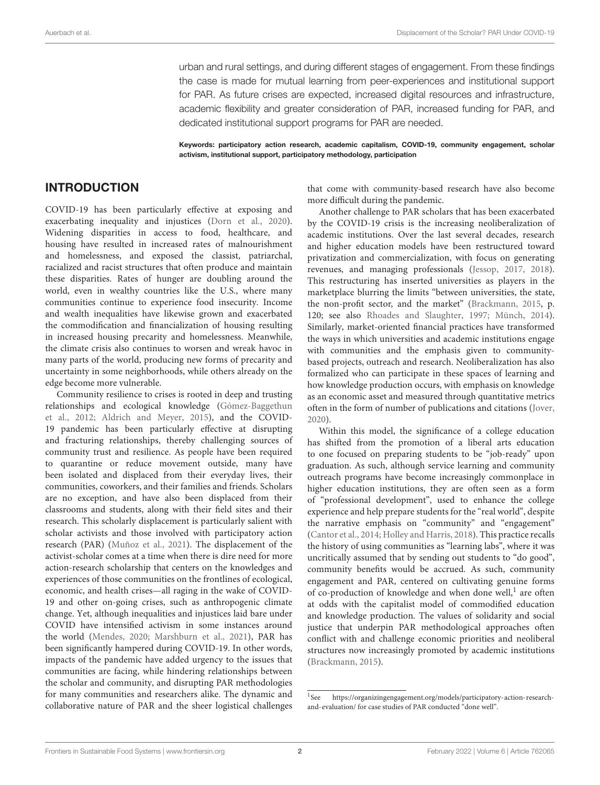urban and rural settings, and during different stages of engagement. From these findings the case is made for mutual learning from peer-experiences and institutional support for PAR. As future crises are expected, increased digital resources and infrastructure, academic flexibility and greater consideration of PAR, increased funding for PAR, and dedicated institutional support programs for PAR are needed.

Keywords: participatory action research, academic capitalism, COVID-19, community engagement, scholar activism, institutional support, participatory methodology, participation

#### INTRODUCTION

COVID-19 has been particularly effective at exposing and exacerbating inequality and injustices [\(Dorn et al., 2020\)](#page-14-0). Widening disparities in access to food, healthcare, and housing have resulted in increased rates of malnourishment and homelessness, and exposed the classist, patriarchal, racialized and racist structures that often produce and maintain these disparities. Rates of hunger are doubling around the world, even in wealthy countries like the U.S., where many communities continue to experience food insecurity. Income and wealth inequalities have likewise grown and exacerbated the commodification and financialization of housing resulting in increased housing precarity and homelessness. Meanwhile, the climate crisis also continues to worsen and wreak havoc in many parts of the world, producing new forms of precarity and uncertainty in some neighborhoods, while others already on the edge become more vulnerable.

Community resilience to crises is rooted in deep and trusting relationships and ecological knowledge (Gómez-Baggethun et al., [2012;](#page-14-1) [Aldrich and Meyer, 2015\)](#page-13-0), and the COVID-19 pandemic has been particularly effective at disrupting and fracturing relationships, thereby challenging sources of community trust and resilience. As people have been required to quarantine or reduce movement outside, many have been isolated and displaced from their everyday lives, their communities, coworkers, and their families and friends. Scholars are no exception, and have also been displaced from their classrooms and students, along with their field sites and their research. This scholarly displacement is particularly salient with scholar activists and those involved with participatory action research (PAR) [\(Muñoz et al., 2021\)](#page-14-2). The displacement of the activist-scholar comes at a time when there is dire need for more action-research scholarship that centers on the knowledges and experiences of those communities on the frontlines of ecological, economic, and health crises—all raging in the wake of COVID-19 and other on-going crises, such as anthropogenic climate change. Yet, although inequalities and injustices laid bare under COVID have intensified activism in some instances around the world [\(Mendes, 2020;](#page-14-3) [Marshburn et al., 2021\)](#page-14-4), PAR has been significantly hampered during COVID-19. In other words, impacts of the pandemic have added urgency to the issues that communities are facing, while hindering relationships between the scholar and community, and disrupting PAR methodologies for many communities and researchers alike. The dynamic and collaborative nature of PAR and the sheer logistical challenges

that come with community-based research have also become more difficult during the pandemic.

Another challenge to PAR scholars that has been exacerbated by the COVID-19 crisis is the increasing neoliberalization of academic institutions. Over the last several decades, research and higher education models have been restructured toward privatization and commercialization, with focus on generating revenues, and managing professionals [\(Jessop, 2017,](#page-14-5) [2018\)](#page-14-6). This restructuring has inserted universities as players in the marketplace blurring the limits "between universities, the state, the non-profit sector, and the market" [\(Brackmann, 2015,](#page-13-1) p. 120; see also [Rhoades and Slaughter, 1997;](#page-14-7) [Münch, 2014\)](#page-14-8). Similarly, market-oriented financial practices have transformed the ways in which universities and academic institutions engage with communities and the emphasis given to communitybased projects, outreach and research. Neoliberalization has also formalized who can participate in these spaces of learning and how knowledge production occurs, with emphasis on knowledge as an economic asset and measured through quantitative metrics often in the form of number of publications and citations [\(Jover,](#page-14-9) [2020\)](#page-14-9).

Within this model, the significance of a college education has shifted from the promotion of a liberal arts education to one focused on preparing students to be "job-ready" upon graduation. As such, although service learning and community outreach programs have become increasingly commonplace in higher education institutions, they are often seen as a form of "professional development", used to enhance the college experience and help prepare students for the "real world", despite the narrative emphasis on "community" and "engagement" [\(Cantor et al., 2014;](#page-13-2) [Holley and Harris, 2018\)](#page-14-10). This practice recalls the history of using communities as "learning labs", where it was uncritically assumed that by sending out students to "do good", community benefits would be accrued. As such, community engagement and PAR, centered on cultivating genuine forms of co-production of knowledge and when done well,<sup>[1](#page-2-0)</sup> are often at odds with the capitalist model of commodified education and knowledge production. The values of solidarity and social justice that underpin PAR methodological approaches often conflict with and challenge economic priorities and neoliberal structures now increasingly promoted by academic institutions [\(Brackmann, 2015\)](#page-13-1).

<span id="page-2-0"></span> $1$ See https://organizingengagement.org/models/participatory-action-research[and-evaluation/](https://organizingengagement.org/models/participatory-action-research-and-evaluation/) for case studies of PAR conducted "done well".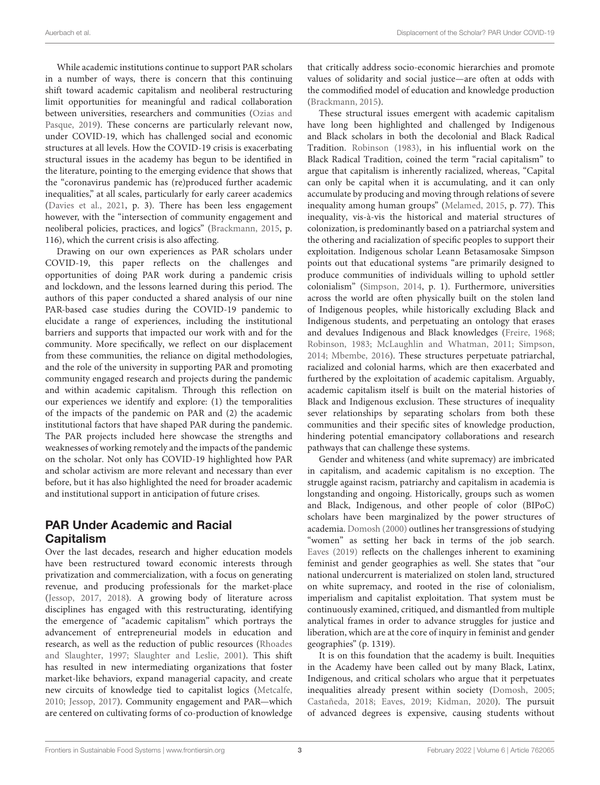While academic institutions continue to support PAR scholars in a number of ways, there is concern that this continuing shift toward academic capitalism and neoliberal restructuring limit opportunities for meaningful and radical collaboration between universities, researchers and communities (Ozias and Pasque, [2019\)](#page-14-11). These concerns are particularly relevant now, under COVID-19, which has challenged social and economic structures at all levels. How the COVID-19 crisis is exacerbating structural issues in the academy has begun to be identified in the literature, pointing to the emerging evidence that shows that the "coronavirus pandemic has (re)produced further academic inequalities," at all scales, particularly for early career academics [\(Davies et al., 2021,](#page-14-12) p. 3). There has been less engagement however, with the "intersection of community engagement and neoliberal policies, practices, and logics" [\(Brackmann, 2015,](#page-13-1) p. 116), which the current crisis is also affecting.

Drawing on our own experiences as PAR scholars under COVID-19, this paper reflects on the challenges and opportunities of doing PAR work during a pandemic crisis and lockdown, and the lessons learned during this period. The authors of this paper conducted a shared analysis of our nine PAR-based case studies during the COVID-19 pandemic to elucidate a range of experiences, including the institutional barriers and supports that impacted our work with and for the community. More specifically, we reflect on our displacement from these communities, the reliance on digital methodologies, and the role of the university in supporting PAR and promoting community engaged research and projects during the pandemic and within academic capitalism. Through this reflection on our experiences we identify and explore: (1) the temporalities of the impacts of the pandemic on PAR and (2) the academic institutional factors that have shaped PAR during the pandemic. The PAR projects included here showcase the strengths and weaknesses of working remotely and the impacts of the pandemic on the scholar. Not only has COVID-19 highlighted how PAR and scholar activism are more relevant and necessary than ever before, but it has also highlighted the need for broader academic and institutional support in anticipation of future crises.

### PAR Under Academic and Racial **Capitalism**

Over the last decades, research and higher education models have been restructured toward economic interests through privatization and commercialization, with a focus on generating revenue, and producing professionals for the market-place [\(Jessop, 2017,](#page-14-5) [2018\)](#page-14-6). A growing body of literature across disciplines has engaged with this restructurating, identifying the emergence of "academic capitalism" which portrays the advancement of entrepreneurial models in education and research, as well as the reduction of public resources (Rhoades and Slaughter, [1997;](#page-14-7) [Slaughter and Leslie, 2001\)](#page-15-0). This shift has resulted in new intermediating organizations that foster market-like behaviors, expand managerial capacity, and create new circuits of knowledge tied to capitalist logics [\(Metcalfe,](#page-14-13) [2010;](#page-14-13) [Jessop, 2017\)](#page-14-5). Community engagement and PAR—which are centered on cultivating forms of co-production of knowledge that critically address socio-economic hierarchies and promote values of solidarity and social justice—are often at odds with the commodified model of education and knowledge production [\(Brackmann, 2015\)](#page-13-1).

These structural issues emergent with academic capitalism have long been highlighted and challenged by Indigenous and Black scholars in both the decolonial and Black Radical Tradition. [Robinson \(1983\)](#page-14-14), in his influential work on the Black Radical Tradition, coined the term "racial capitalism" to argue that capitalism is inherently racialized, whereas, "Capital can only be capital when it is accumulating, and it can only accumulate by producing and moving through relations of severe inequality among human groups" [\(Melamed, 2015,](#page-14-15) p. 77). This inequality, vis-à-vis the historical and material structures of colonization, is predominantly based on a patriarchal system and the othering and racialization of specific peoples to support their exploitation. Indigenous scholar Leann Betasamosake Simpson points out that educational systems "are primarily designed to produce communities of individuals willing to uphold settler colonialism" [\(Simpson, 2014,](#page-15-1) p. 1). Furthermore, universities across the world are often physically built on the stolen land of Indigenous peoples, while historically excluding Black and Indigenous students, and perpetuating an ontology that erases and devalues Indigenous and Black knowledges [\(Freire, 1968;](#page-14-16) [Robinson, 1983;](#page-14-14) [McLaughlin and Whatman, 2011;](#page-14-17) [Simpson,](#page-15-1) [2014;](#page-15-1) [Mbembe, 2016\)](#page-14-18). These structures perpetuate patriarchal, racialized and colonial harms, which are then exacerbated and furthered by the exploitation of academic capitalism. Arguably, academic capitalism itself is built on the material histories of Black and Indigenous exclusion. These structures of inequality sever relationships by separating scholars from both these communities and their specific sites of knowledge production, hindering potential emancipatory collaborations and research pathways that can challenge these systems.

Gender and whiteness (and white supremacy) are imbricated in capitalism, and academic capitalism is no exception. The struggle against racism, patriarchy and capitalism in academia is longstanding and ongoing. Historically, groups such as women and Black, Indigenous, and other people of color (BIPoC) scholars have been marginalized by the power structures of academia. [Domosh \(2000\)](#page-14-19) outlines her transgressions of studying "women" as setting her back in terms of the job search. [Eaves \(2019\)](#page-14-20) reflects on the challenges inherent to examining feminist and gender geographies as well. She states that "our national undercurrent is materialized on stolen land, structured on white supremacy, and rooted in the rise of colonialism, imperialism and capitalist exploitation. That system must be continuously examined, critiqued, and dismantled from multiple analytical frames in order to advance struggles for justice and liberation, which are at the core of inquiry in feminist and gender geographies" (p. 1319).

It is on this foundation that the academy is built. Inequities in the Academy have been called out by many Black, Latinx, Indigenous, and critical scholars who argue that it perpetuates inequalities already present within society [\(Domosh, 2005;](#page-14-21) [Castañeda, 2018;](#page-14-22) [Eaves, 2019;](#page-14-20) [Kidman, 2020\)](#page-14-23). The pursuit of advanced degrees is expensive, causing students without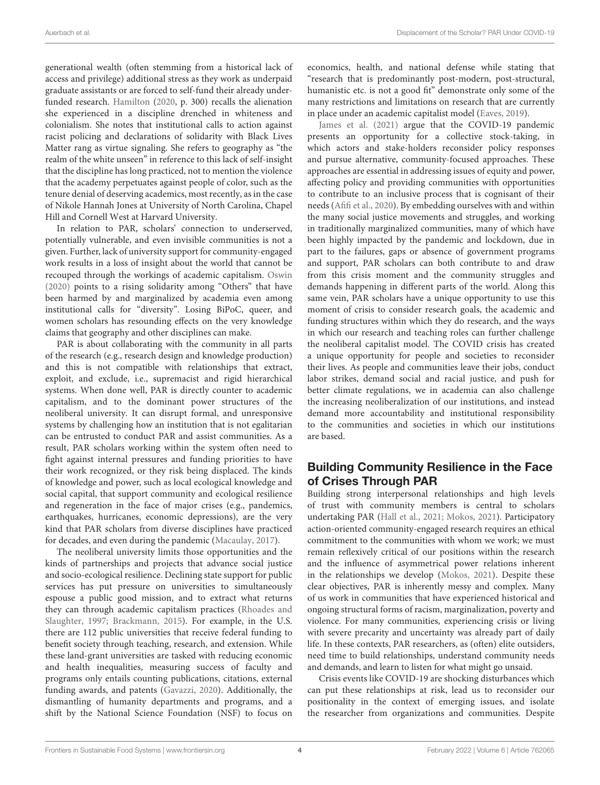generational wealth (often stemming from a historical lack of access and privilege) additional stress as they work as underpaid graduate assistants or are forced to self-fund their already underfunded research. [Hamilton](#page-14-24) [\(2020,](#page-14-24) p. 300) recalls the alienation she experienced in a discipline drenched in whiteness and colonialism. She notes that institutional calls to action against racist policing and declarations of solidarity with Black Lives Matter rang as virtue signaling. She refers to geography as "the realm of the white unseen" in reference to this lack of self-insight that the discipline has long practiced, not to mention the violence that the academy perpetuates against people of color, such as the tenure denial of deserving academics, most recently, as in the case of Nikole Hannah Jones at University of North Carolina, Chapel Hill and Cornell West at Harvard University.

In relation to PAR, scholars' connection to underserved, potentially vulnerable, and even invisible communities is not a given. Further, lack of university support for community-engaged work results in a loss of insight about the world that cannot be recouped through the workings of academic capitalism. [Oswin](#page-14-25) [\(2020\)](#page-14-25) points to a rising solidarity among "Others" that have been harmed by and marginalized by academia even among institutional calls for "diversity". Losing BiPoC, queer, and women scholars has resounding effects on the very knowledge claims that geography and other disciplines can make.

PAR is about collaborating with the community in all parts of the research (e.g., research design and knowledge production) and this is not compatible with relationships that extract, exploit, and exclude, i.e., supremacist and rigid hierarchical systems. When done well, PAR is directly counter to academic capitalism, and to the dominant power structures of the neoliberal university. It can disrupt formal, and unresponsive systems by challenging how an institution that is not egalitarian can be entrusted to conduct PAR and assist communities. As a result, PAR scholars working within the system often need to fight against internal pressures and funding priorities to have their work recognized, or they risk being displaced. The kinds of knowledge and power, such as local ecological knowledge and social capital, that support community and ecological resilience and regeneration in the face of major crises (e.g., pandemics, earthquakes, hurricanes, economic depressions), are the very kind that PAR scholars from diverse disciplines have practiced for decades, and even during the pandemic [\(Macaulay, 2017\)](#page-14-26).

The neoliberal university limits those opportunities and the kinds of partnerships and projects that advance social justice and socio-ecological resilience. Declining state support for public services has put pressure on universities to simultaneously espouse a public good mission, and to extract what returns they can through academic capitalism practices (Rhoades and Slaughter, [1997;](#page-14-7) [Brackmann, 2015\)](#page-13-1). For example, in the U.S. there are 112 public universities that receive federal funding to benefit society through teaching, research, and extension. While these land-grant universities are tasked with reducing economic and health inequalities, measuring success of faculty and programs only entails counting publications, citations, external funding awards, and patents [\(Gavazzi, 2020\)](#page-14-27). Additionally, the dismantling of humanity departments and programs, and a shift by the National Science Foundation (NSF) to focus on economics, health, and national defense while stating that "research that is predominantly post-modern, post-structural, humanistic etc. is not a good fit" demonstrate only some of the many restrictions and limitations on research that are currently in place under an academic capitalist model [\(Eaves, 2019\)](#page-14-20).

[James et al. \(2021\)](#page-14-28) argue that the COVID-19 pandemic presents an opportunity for a collective stock-taking, in which actors and stake-holders reconsider policy responses and pursue alternative, community-focused approaches. These approaches are essential in addressing issues of equity and power, affecting policy and providing communities with opportunities to contribute to an inclusive process that is cognisant of their needs [\(Afifi et al., 2020\)](#page-13-3). By embedding ourselves with and within the many social justice movements and struggles, and working in traditionally marginalized communities, many of which have been highly impacted by the pandemic and lockdown, due in part to the failures, gaps or absence of government programs and support, PAR scholars can both contribute to and draw from this crisis moment and the community struggles and demands happening in different parts of the world. Along this same vein, PAR scholars have a unique opportunity to use this moment of crisis to consider research goals, the academic and funding structures within which they do research, and the ways in which our research and teaching roles can further challenge the neoliberal capitalist model. The COVID crisis has created a unique opportunity for people and societies to reconsider their lives. As people and communities leave their jobs, conduct labor strikes, demand social and racial justice, and push for better climate regulations, we in academia can also challenge the increasing neoliberalization of our institutions, and instead demand more accountability and institutional responsibility to the communities and societies in which our institutions are based.

#### Building Community Resilience in the Face of Crises Through PAR

Building strong interpersonal relationships and high levels of trust with community members is central to scholars undertaking PAR [\(Hall et al., 2021;](#page-14-29) [Mokos, 2021\)](#page-14-30). Participatory action-oriented community-engaged research requires an ethical commitment to the communities with whom we work; we must remain reflexively critical of our positions within the research and the influence of asymmetrical power relations inherent in the relationships we develop [\(Mokos, 2021\)](#page-14-30). Despite these clear objectives, PAR is inherently messy and complex. Many of us work in communities that have experienced historical and ongoing structural forms of racism, marginalization, poverty and violence. For many communities, experiencing crisis or living with severe precarity and uncertainty was already part of daily life. In these contexts, PAR researchers, as (often) elite outsiders, need time to build relationships, understand community needs and demands, and learn to listen for what might go unsaid.

Crisis events like COVID-19 are shocking disturbances which can put these relationships at risk, lead us to reconsider our positionality in the context of emerging issues, and isolate the researcher from organizations and communities. Despite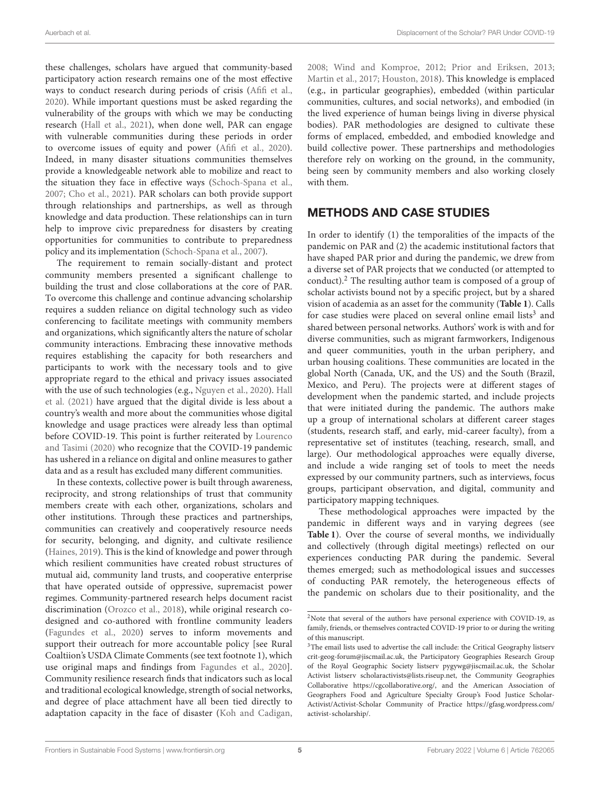these challenges, scholars have argued that community-based participatory action research remains one of the most effective ways to conduct research during periods of crisis [\(Afifi et al.,](#page-13-3) [2020\)](#page-13-3). While important questions must be asked regarding the vulnerability of the groups with which we may be conducting research [\(Hall et al., 2021\)](#page-14-29), when done well, PAR can engage with vulnerable communities during these periods in order to overcome issues of equity and power [\(Afifi et al., 2020\)](#page-13-3). Indeed, in many disaster situations communities themselves provide a knowledgeable network able to mobilize and react to the situation they face in effective ways [\(Schoch-Spana et al.,](#page-15-2) [2007;](#page-15-2) [Cho et al., 2021\)](#page-14-31). PAR scholars can both provide support through relationships and partnerships, as well as through knowledge and data production. These relationships can in turn help to improve civic preparedness for disasters by creating opportunities for communities to contribute to preparedness policy and its implementation [\(Schoch-Spana et al., 2007\)](#page-15-2).

The requirement to remain socially-distant and protect community members presented a significant challenge to building the trust and close collaborations at the core of PAR. To overcome this challenge and continue advancing scholarship requires a sudden reliance on digital technology such as video conferencing to facilitate meetings with community members and organizations, which significantly alters the nature of scholar community interactions. Embracing these innovative methods requires establishing the capacity for both researchers and participants to work with the necessary tools and to give appropriate regard to the ethical and privacy issues associated with the use of such technologies (e.g., [Nguyen et al., 2020\)](#page-14-32). Hall et al. [\(2021\)](#page-14-29) have argued that the digital divide is less about a country's wealth and more about the communities whose digital knowledge and usage practices were already less than optimal before COVID-19. This point is further reiterated by Lourenco and Tasimi [\(2020\)](#page-14-33) who recognize that the COVID-19 pandemic has ushered in a reliance on digital and online measures to gather data and as a result has excluded many different communities.

In these contexts, collective power is built through awareness, reciprocity, and strong relationships of trust that community members create with each other, organizations, scholars and other institutions. Through these practices and partnerships, communities can creatively and cooperatively resource needs for security, belonging, and dignity, and cultivate resilience [\(Haines, 2019\)](#page-14-34). This is the kind of knowledge and power through which resilient communities have created robust structures of mutual aid, community land trusts, and cooperative enterprise that have operated outside of oppressive, supremacist power regimes. Community-partnered research helps document racist discrimination [\(Orozco et al., 2018\)](#page-14-35), while original research codesigned and co-authored with frontline community leaders [\(Fagundes et al., 2020\)](#page-14-36) serves to inform movements and support their outreach for more accountable policy [see Rural Coaltiion's USDA Climate Comments (see text footnote 1), which use original maps and findings from [Fagundes et al., 2020\]](#page-14-36). Community resilience research finds that indicators such as local and traditional ecological knowledge, strength of social networks, and degree of place attachment have all been tied directly to adaptation capacity in the face of disaster [\(Koh and Cadigan,](#page-14-37)

[2008;](#page-14-37) [Wind and Komproe, 2012;](#page-15-3) [Prior and Eriksen, 2013;](#page-14-38) [Martin et al., 2017;](#page-14-39) [Houston, 2018\)](#page-14-40). This knowledge is emplaced (e.g., in particular geographies), embedded (within particular communities, cultures, and social networks), and embodied (in the lived experience of human beings living in diverse physical bodies). PAR methodologies are designed to cultivate these forms of emplaced, embedded, and embodied knowledge and build collective power. These partnerships and methodologies therefore rely on working on the ground, in the community, being seen by community members and also working closely with them.

#### METHODS AND CASE STUDIES

In order to identify (1) the temporalities of the impacts of the pandemic on PAR and (2) the academic institutional factors that have shaped PAR prior and during the pandemic, we drew from a diverse set of PAR projects that we conducted (or attempted to conduct).[2](#page-5-0) The resulting author team is composed of a group of scholar activists bound not by a specific project, but by a shared vision of academia as an asset for the community (**[Table 1](#page-6-0)**). Calls for case studies were placed on several online email lists<sup>[3](#page-5-1)</sup> and shared between personal networks. Authors' work is with and for diverse communities, such as migrant farmworkers, Indigenous and queer communities, youth in the urban periphery, and urban housing coalitions. These communities are located in the global North (Canada, UK, and the US) and the South (Brazil, Mexico, and Peru). The projects were at different stages of development when the pandemic started, and include projects that were initiated during the pandemic. The authors make up a group of international scholars at different career stages (students, research staff, and early, mid-career faculty), from a representative set of institutes (teaching, research, small, and large). Our methodological approaches were equally diverse, and include a wide ranging set of tools to meet the needs expressed by our community partners, such as interviews, focus groups, participant observation, and digital, community and participatory mapping techniques.

These methodological approaches were impacted by the pandemic in different ways and in varying degrees (see **[Table 1](#page-6-0)**). Over the course of several months, we individually and collectively (through digital meetings) reflected on our experiences conducting PAR during the pandemic. Several themes emerged; such as methodological issues and successes of conducting PAR remotely, the heterogeneous effects of the pandemic on scholars due to their positionality, and the

<span id="page-5-0"></span> $2$ Note that several of the authors have personal experience with COVID-19, as family, friends, or themselves contracted COVID-19 prior to or during the writing of this manuscript.

<span id="page-5-1"></span><sup>&</sup>lt;sup>3</sup>The email lists used to advertise the call include: the Critical Geography listserv crit-geog-forum@jiscmail.ac.uk, the Participatory Geographies Research Group of the Royal Geographic Society listserv pygywg@jiscmail.ac.uk, the Scholar Activist listserv scholaractivists@lists.riseup.net, the Community Geographies Collaborative [https://cgcollaborative.org/,](https://cgcollaborative.org/) and the American Association of Geographers Food and Agriculture Specialty Group's Food Justice Scholar-Activist/Activist-Scholar Community of Practice [https://gfasg.wordpress.com/](https://gfasg.wordpress.com/activist-scholarship/) [activist-scholarship/.](https://gfasg.wordpress.com/activist-scholarship/)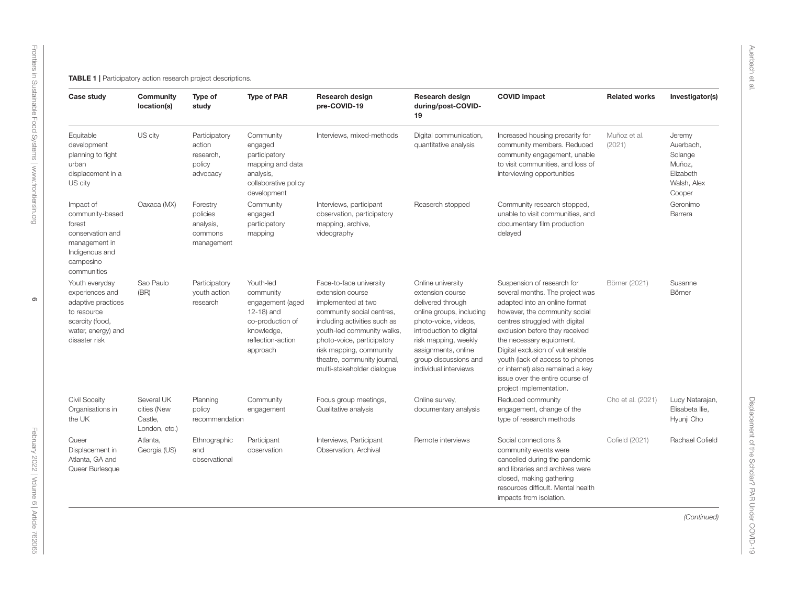<span id="page-6-0"></span>

| Case study                                                                                                                       | Community<br>location(s)                              | Type of<br>study                                           | <b>Type of PAR</b>                                                                                                          | <b>Research design</b><br>pre-COVID-19                                                                                                                                                                                                                                             | <b>Research design</b><br>during/post-COVID-<br>19                                                                                                                                                                                         | <b>COVID impact</b>                                                                                                                                                                                                                                                                                                                                                                                     | <b>Related works</b>   | Investigator(s)                                                                |
|----------------------------------------------------------------------------------------------------------------------------------|-------------------------------------------------------|------------------------------------------------------------|-----------------------------------------------------------------------------------------------------------------------------|------------------------------------------------------------------------------------------------------------------------------------------------------------------------------------------------------------------------------------------------------------------------------------|--------------------------------------------------------------------------------------------------------------------------------------------------------------------------------------------------------------------------------------------|---------------------------------------------------------------------------------------------------------------------------------------------------------------------------------------------------------------------------------------------------------------------------------------------------------------------------------------------------------------------------------------------------------|------------------------|--------------------------------------------------------------------------------|
| Equitable<br>development<br>planning to fight<br>urban<br>displacement in a<br>US city                                           | US city                                               | Participatory<br>action<br>research,<br>policy<br>advocacy | Community<br>engaged<br>participatory<br>mapping and data<br>analysis,<br>collaborative policy<br>development               | Interviews, mixed-methods                                                                                                                                                                                                                                                          | Digital communication,<br>quantitative analysis                                                                                                                                                                                            | Increased housing precarity for<br>community members. Reduced<br>community engagement, unable<br>to visit communities, and loss of<br>interviewing opportunities                                                                                                                                                                                                                                        | Muñoz et al.<br>(2021) | Jeremy<br>Auerbach,<br>Solange<br>Muñoz,<br>Elizabeth<br>Walsh, Alex<br>Cooper |
| Impact of<br>community-based<br>forest<br>conservation and<br>management in<br>Indigenous and<br>campesino<br>communities        | Oaxaca (MX)                                           | Forestry<br>policies<br>analysis,<br>commons<br>management | Community<br>engaged<br>participatory<br>mapping                                                                            | Interviews, participant<br>observation, participatory<br>mapping, archive,<br>videography                                                                                                                                                                                          | Reaserch stopped                                                                                                                                                                                                                           | Community research stopped,<br>unable to visit communities, and<br>documentary film production<br>delayed                                                                                                                                                                                                                                                                                               |                        | Geronimo<br>Barrera                                                            |
| Youth everyday<br>experiences and<br>adaptive practices<br>to resource<br>scarcity (food,<br>water, energy) and<br>disaster risk | Sao Paulo<br>(BR)                                     | Participatory<br>youth action<br>research                  | Youth-led<br>community<br>engagement (aged<br>12-18) and<br>co-production of<br>knowledge,<br>reflection-action<br>approach | Face-to-face university<br>extension course<br>implemented at two<br>community social centres,<br>including activities such as<br>youth-led community walks,<br>photo-voice, participatory<br>risk mapping, community<br>theatre, community journal,<br>multi-stakeholder dialogue | Online university<br>extension course<br>delivered through<br>online groups, including<br>photo-voice, videos,<br>introduction to digital<br>risk mapping, weekly<br>assignments, online<br>group discussions and<br>individual interviews | Suspension of research for<br>several months. The project was<br>adapted into an online format<br>however, the community social<br>centres struggled with digital<br>exclusion before they received<br>the necessary equipment.<br>Digital exclusion of vulnerable<br>youth (lack of access to phones<br>or internet) also remained a key<br>issue over the entire course of<br>project implementation. | Börner (2021)          | Susanne<br>Börner                                                              |
| <b>Civil Soceity</b><br>Organisations in<br>the UK                                                                               | Several UK<br>cities (New<br>Castle,<br>London, etc.) | Planning<br>policy<br>recommendation                       | Community<br>engagement                                                                                                     | Focus group meetings,<br>Qualitative analysis                                                                                                                                                                                                                                      | Online survey,<br>documentary analysis                                                                                                                                                                                                     | Reduced community<br>engagement, change of the<br>type of research methods                                                                                                                                                                                                                                                                                                                              | Cho et al. (2021)      | Lucy Natarajan,<br>Elisabeta Ilie,<br>Hyunji Cho                               |
| Queer<br>Displacement in<br>Atlanta, GA and<br>Queer Burlesque                                                                   | Atlanta,<br>Georgia (US)                              | Ethnographic<br>and<br>observational                       | Participant<br>observation                                                                                                  | Interviews, Participant<br>Observation, Archival                                                                                                                                                                                                                                   | Remote interviews                                                                                                                                                                                                                          | Social connections &<br>community events were<br>cancelled during the pandemic<br>and libraries and archives were<br>closed, making gathering<br>resources difficult. Mental health<br>impacts from isolation.                                                                                                                                                                                          | Cofield (2021)         | Rachael Cofield                                                                |
|                                                                                                                                  |                                                       |                                                            |                                                                                                                             |                                                                                                                                                                                                                                                                                    |                                                                                                                                                                                                                                            |                                                                                                                                                                                                                                                                                                                                                                                                         |                        | (Continued)                                                                    |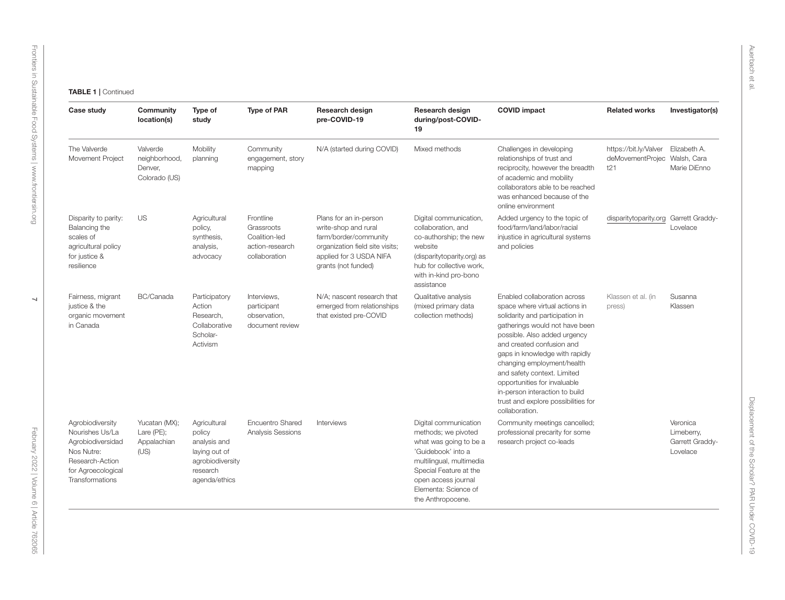| Case study                                                                                                                         | Community<br>location(s)                              | Type of<br>study                                                                                         | <b>Type of PAR</b>                                                           | Research design<br>pre-COVID-19                                                                                                                              | Research design<br>during/post-COVID-<br>19                                                                                                                                                                            | <b>COVID impact</b>                                                                                                                                                                                                                                                                                                                                                                                                        | <b>Related works</b>                                         | Investigator(s)                                       |
|------------------------------------------------------------------------------------------------------------------------------------|-------------------------------------------------------|----------------------------------------------------------------------------------------------------------|------------------------------------------------------------------------------|--------------------------------------------------------------------------------------------------------------------------------------------------------------|------------------------------------------------------------------------------------------------------------------------------------------------------------------------------------------------------------------------|----------------------------------------------------------------------------------------------------------------------------------------------------------------------------------------------------------------------------------------------------------------------------------------------------------------------------------------------------------------------------------------------------------------------------|--------------------------------------------------------------|-------------------------------------------------------|
| The Valverde<br>Movement Project                                                                                                   | Valverde<br>neighborhood,<br>Denver,<br>Colorado (US) | Mobility<br>planning                                                                                     | Community<br>engagement, story<br>mapping                                    | N/A (started during COVID)                                                                                                                                   | Mixed methods                                                                                                                                                                                                          | Challenges in developing<br>relationships of trust and<br>reciprocity, however the breadth<br>of academic and mobility<br>collaborators able to be reached<br>was enhanced because of the<br>online environment                                                                                                                                                                                                            | https://bit.ly/Valver<br>deMovementProjec Walsh, Cara<br>121 | Elizabeth A.<br>Marie DiEnno                          |
| Disparity to parity:<br>Balancing the<br>scales of<br>agricultural policy<br>for justice &<br>resilience                           | <b>US</b>                                             | Agricultural<br>policy,<br>synthesis,<br>analysis,<br>advocacy                                           | Frontline<br>Grassroots<br>Coalition-led<br>action-research<br>collaboration | Plans for an in-person<br>write-shop and rural<br>farm/border/community<br>organization field site visits;<br>applied for 3 USDA NIFA<br>grants (not funded) | Digital communication,<br>collaboration, and<br>co-authorship; the new<br>website<br>(disparitytoparity.org) as<br>hub for collective work,<br>with in-kind pro-bono<br>assistance                                     | Added urgency to the topic of<br>food/farm/land/labor/racial<br>injustice in agricultural systems<br>and policies                                                                                                                                                                                                                                                                                                          | disparitytoparity.org                                        | Garrett Graddy-<br>Lovelace                           |
| Fairness, migrant<br>justice & the<br>organic movement<br>in Canada                                                                | BC/Canada                                             | Participatory<br>Action<br>Research.<br>Collaborative<br>Scholar-<br>Activism                            | Interviews,<br>participant<br>observation,<br>document review                | N/A; nascent research that<br>emerged from relationships<br>that existed pre-COVID                                                                           | Qualitative analysis<br>(mixed primary data<br>collection methods)                                                                                                                                                     | Enabled collaboration across<br>space where virtual actions in<br>solidarity and participation in<br>gatherings would not have been<br>possible. Also added urgency<br>and created confusion and<br>gaps in knowledge with rapidly<br>changing employment/health<br>and safety context. Limited<br>opportunities for invaluable<br>in-person interaction to build<br>trust and explore possibilities for<br>collaboration. | Klassen et al. (in<br>press)                                 | Susanna<br>Klassen                                    |
| Agrobiodiversity<br>Nourishes Us/La<br>Agrobiodiversidad<br>Nos Nutre:<br>Research-Action<br>for Agroecological<br>Transformations | Yucatan (MX);<br>Lare (PE);<br>Appalachian<br>(US)    | Agricultural<br>policy<br>analysis and<br>laying out of<br>agrobiodiversity<br>research<br>agenda/ethics | Encuentro Shared<br>Analysis Sessions                                        | Interviews                                                                                                                                                   | Digital communication<br>methods; we pivoted<br>what was going to be a<br>'Guidebook' into a<br>multilingual, multimedia<br>Special Feature at the<br>open access journal<br>Elementa: Science of<br>the Anthropocene. | Community meetings cancelled;<br>professional precarity for some<br>research project co-leads                                                                                                                                                                                                                                                                                                                              |                                                              | Veronica<br>Limeberry,<br>Garrett Graddy-<br>Lovelace |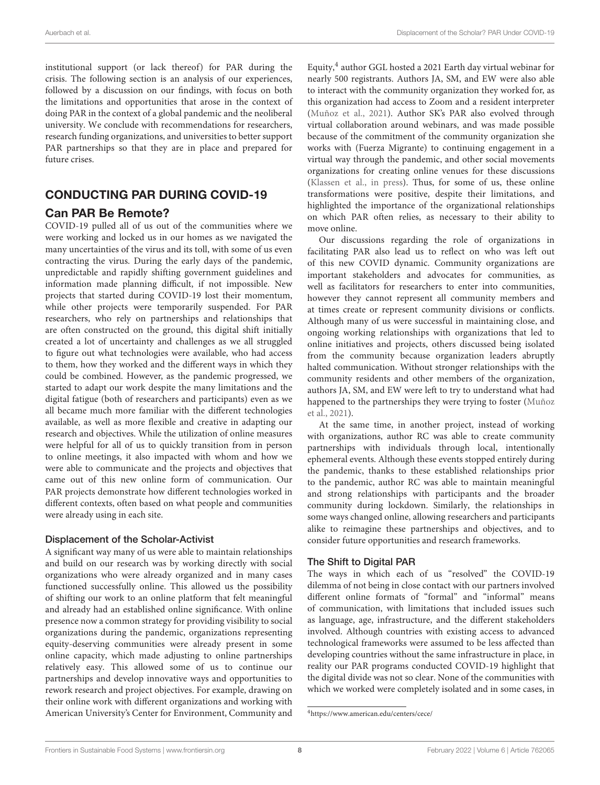institutional support (or lack thereof) for PAR during the crisis. The following section is an analysis of our experiences, followed by a discussion on our findings, with focus on both the limitations and opportunities that arose in the context of doing PAR in the context of a global pandemic and the neoliberal university. We conclude with recommendations for researchers, research funding organizations, and universities to better support PAR partnerships so that they are in place and prepared for future crises.

#### CONDUCTING PAR DURING COVID-19 Can PAR Be Remote?

COVID-19 pulled all of us out of the communities where we were working and locked us in our homes as we navigated the many uncertainties of the virus and its toll, with some of us even contracting the virus. During the early days of the pandemic, unpredictable and rapidly shifting government guidelines and information made planning difficult, if not impossible. New projects that started during COVID-19 lost their momentum, while other projects were temporarily suspended. For PAR researchers, who rely on partnerships and relationships that are often constructed on the ground, this digital shift initially created a lot of uncertainty and challenges as we all struggled to figure out what technologies were available, who had access to them, how they worked and the different ways in which they could be combined. However, as the pandemic progressed, we started to adapt our work despite the many limitations and the digital fatigue (both of researchers and participants) even as we all became much more familiar with the different technologies available, as well as more flexible and creative in adapting our research and objectives. While the utilization of online measures were helpful for all of us to quickly transition from in person to online meetings, it also impacted with whom and how we were able to communicate and the projects and objectives that came out of this new online form of communication. Our PAR projects demonstrate how different technologies worked in different contexts, often based on what people and communities were already using in each site.

#### Displacement of the Scholar-Activist

A significant way many of us were able to maintain relationships and build on our research was by working directly with social organizations who were already organized and in many cases functioned successfully online. This allowed us the possibility of shifting our work to an online platform that felt meaningful and already had an established online significance. With online presence now a common strategy for providing visibility to social organizations during the pandemic, organizations representing equity-deserving communities were already present in some online capacity, which made adjusting to online partnerships relatively easy. This allowed some of us to continue our partnerships and develop innovative ways and opportunities to rework research and project objectives. For example, drawing on their online work with different organizations and working with American University's Center for Environment, Community and

Equity,<sup>[4](#page-8-0)</sup> author GGL hosted a 2021 Earth day virtual webinar for nearly 500 registrants. Authors JA, SM, and EW were also able to interact with the community organization they worked for, as this organization had access to Zoom and a resident interpreter [\(Muñoz et al., 2021\)](#page-14-2). Author SK's PAR also evolved through virtual collaboration around webinars, and was made possible because of the commitment of the community organization she works with (Fuerza Migrante) to continuing engagement in a virtual way through the pandemic, and other social movements organizations for creating online venues for these discussions [\(Klassen et al., in press\)](#page-14-45). Thus, for some of us, these online transformations were positive, despite their limitations, and highlighted the importance of the organizational relationships on which PAR often relies, as necessary to their ability to move online.

Our discussions regarding the role of organizations in facilitating PAR also lead us to reflect on who was left out of this new COVID dynamic. Community organizations are important stakeholders and advocates for communities, as well as facilitators for researchers to enter into communities, however they cannot represent all community members and at times create or represent community divisions or conflicts. Although many of us were successful in maintaining close, and ongoing working relationships with organizations that led to online initiatives and projects, others discussed being isolated from the community because organization leaders abruptly halted communication. Without stronger relationships with the community residents and other members of the organization, authors JA, SM, and EW were left to try to understand what had happened to the partnerships they were trying to foster (Muñoz et al., [2021\)](#page-14-2).

At the same time, in another project, instead of working with organizations, author RC was able to create community partnerships with individuals through local, intentionally ephemeral events. Although these events stopped entirely during the pandemic, thanks to these established relationships prior to the pandemic, author RC was able to maintain meaningful and strong relationships with participants and the broader community during lockdown. Similarly, the relationships in some ways changed online, allowing researchers and participants alike to reimagine these partnerships and objectives, and to consider future opportunities and research frameworks.

#### The Shift to Digital PAR

The ways in which each of us "resolved" the COVID-19 dilemma of not being in close contact with our partners involved different online formats of "formal" and "informal" means of communication, with limitations that included issues such as language, age, infrastructure, and the different stakeholders involved. Although countries with existing access to advanced technological frameworks were assumed to be less affected than developing countries without the same infrastructure in place, in reality our PAR programs conducted COVID-19 highlight that the digital divide was not so clear. None of the communities with which we worked were completely isolated and in some cases, in

<span id="page-8-0"></span><sup>4</sup><https://www.american.edu/centers/cece/>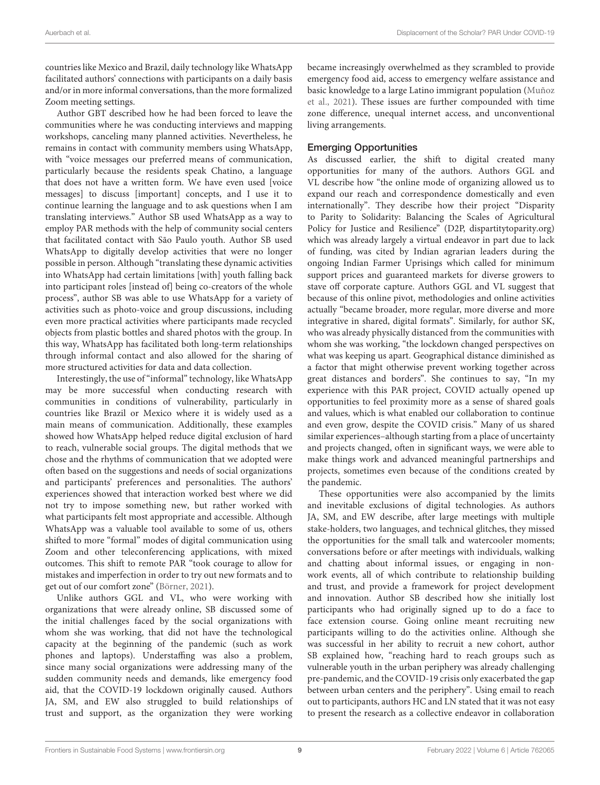countries like Mexico and Brazil, daily technology like WhatsApp facilitated authors' connections with participants on a daily basis and/or in more informal conversations, than the more formalized Zoom meeting settings.

Author GBT described how he had been forced to leave the communities where he was conducting interviews and mapping workshops, canceling many planned activities. Nevertheless, he remains in contact with community members using WhatsApp, with "voice messages our preferred means of communication, particularly because the residents speak Chatino, a language that does not have a written form. We have even used [voice messages] to discuss [important] concepts, and I use it to continue learning the language and to ask questions when I am translating interviews." Author SB used WhatsApp as a way to employ PAR methods with the help of community social centers that facilitated contact with São Paulo youth. Author SB used WhatsApp to digitally develop activities that were no longer possible in person. Although "translating these dynamic activities into WhatsApp had certain limitations [with] youth falling back into participant roles [instead of] being co-creators of the whole process", author SB was able to use WhatsApp for a variety of activities such as photo-voice and group discussions, including even more practical activities where participants made recycled objects from plastic bottles and shared photos with the group. In this way, WhatsApp has facilitated both long-term relationships through informal contact and also allowed for the sharing of more structured activities for data and data collection.

Interestingly, the use of "informal" technology, like WhatsApp may be more successful when conducting research with communities in conditions of vulnerability, particularly in countries like Brazil or Mexico where it is widely used as a main means of communication. Additionally, these examples showed how WhatsApp helped reduce digital exclusion of hard to reach, vulnerable social groups. The digital methods that we chose and the rhythms of communication that we adopted were often based on the suggestions and needs of social organizations and participants' preferences and personalities. The authors' experiences showed that interaction worked best where we did not try to impose something new, but rather worked with what participants felt most appropriate and accessible. Although WhatsApp was a valuable tool available to some of us, others shifted to more "formal" modes of digital communication using Zoom and other teleconferencing applications, with mixed outcomes. This shift to remote PAR "took courage to allow for mistakes and imperfection in order to try out new formats and to get out of our comfort zone" [\(Börner, 2021\)](#page-13-5).

Unlike authors GGL and VL, who were working with organizations that were already online, SB discussed some of the initial challenges faced by the social organizations with whom she was working, that did not have the technological capacity at the beginning of the pandemic (such as work phones and laptops). Understaffing was also a problem, since many social organizations were addressing many of the sudden community needs and demands, like emergency food aid, that the COVID-19 lockdown originally caused. Authors JA, SM, and EW also struggled to build relationships of trust and support, as the organization they were working became increasingly overwhelmed as they scrambled to provide emergency food aid, access to emergency welfare assistance and basic knowledge to a large Latino immigrant population (Muñoz et al., [2021\)](#page-14-2). These issues are further compounded with time zone difference, unequal internet access, and unconventional living arrangements.

#### Emerging Opportunities

As discussed earlier, the shift to digital created many opportunities for many of the authors. Authors GGL and VL describe how "the online mode of organizing allowed us to expand our reach and correspondence domestically and even internationally". They describe how their project "Disparity to Parity to Solidarity: Balancing the Scales of Agricultural Policy for Justice and Resilience" (D2P, [dispartitytoparity.org\)](dispartitytoparity.org) which was already largely a virtual endeavor in part due to lack of funding, was cited by Indian agrarian leaders during the ongoing Indian Farmer Uprisings which called for minimum support prices and guaranteed markets for diverse growers to stave off corporate capture. Authors GGL and VL suggest that because of this online pivot, methodologies and online activities actually "became broader, more regular, more diverse and more integrative in shared, digital formats". Similarly, for author SK, who was already physically distanced from the communities with whom she was working, "the lockdown changed perspectives on what was keeping us apart. Geographical distance diminished as a factor that might otherwise prevent working together across great distances and borders". She continues to say, "In my experience with this PAR project, COVID actually opened up opportunities to feel proximity more as a sense of shared goals and values, which is what enabled our collaboration to continue and even grow, despite the COVID crisis." Many of us shared similar experiences–although starting from a place of uncertainty and projects changed, often in significant ways, we were able to make things work and advanced meaningful partnerships and projects, sometimes even because of the conditions created by the pandemic.

These opportunities were also accompanied by the limits and inevitable exclusions of digital technologies. As authors JA, SM, and EW describe, after large meetings with multiple stake-holders, two languages, and technical glitches, they missed the opportunities for the small talk and watercooler moments; conversations before or after meetings with individuals, walking and chatting about informal issues, or engaging in nonwork events, all of which contribute to relationship building and trust, and provide a framework for project development and innovation. Author SB described how she initially lost participants who had originally signed up to do a face to face extension course. Going online meant recruiting new participants willing to do the activities online. Although she was successful in her ability to recruit a new cohort, author SB explained how, "reaching hard to reach groups such as vulnerable youth in the urban periphery was already challenging pre-pandemic, and the COVID-19 crisis only exacerbated the gap between urban centers and the periphery". Using email to reach out to participants, authors HC and LN stated that it was not easy to present the research as a collective endeavor in collaboration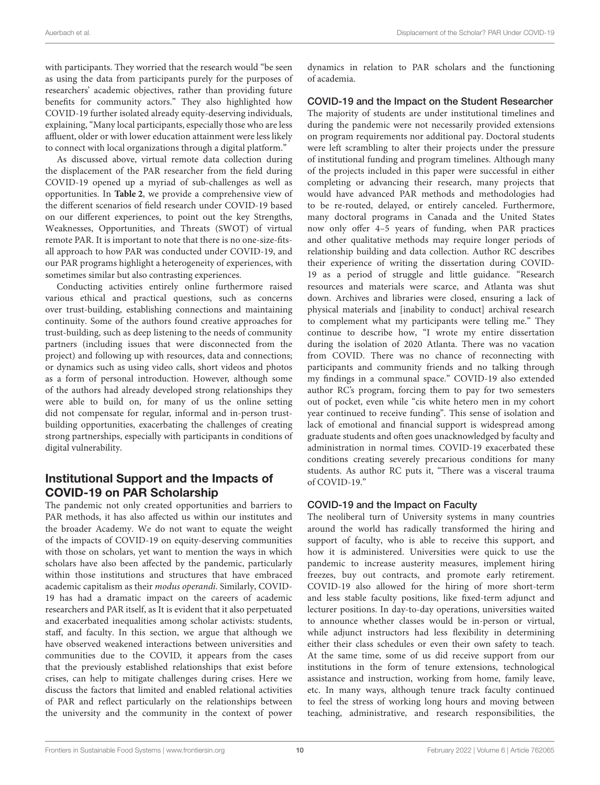with participants. They worried that the research would "be seen as using the data from participants purely for the purposes of researchers' academic objectives, rather than providing future benefits for community actors." They also highlighted how COVID-19 further isolated already equity-deserving individuals, explaining, "Many local participants, especially those who are less affluent, older or with lower education attainment were less likely to connect with local organizations through a digital platform."

As discussed above, virtual remote data collection during the displacement of the PAR researcher from the field during COVID-19 opened up a myriad of sub-challenges as well as opportunities. In **[Table 2](#page-11-0)**, we provide a comprehensive view of the different scenarios of field research under COVID-19 based on our different experiences, to point out the key Strengths, Weaknesses, Opportunities, and Threats (SWOT) of virtual remote PAR. It is important to note that there is no one-size-fitsall approach to how PAR was conducted under COVID-19, and our PAR programs highlight a heterogeneity of experiences, with sometimes similar but also contrasting experiences.

Conducting activities entirely online furthermore raised various ethical and practical questions, such as concerns over trust-building, establishing connections and maintaining continuity. Some of the authors found creative approaches for trust-building, such as deep listening to the needs of community partners (including issues that were disconnected from the project) and following up with resources, data and connections; or dynamics such as using video calls, short videos and photos as a form of personal introduction. However, although some of the authors had already developed strong relationships they were able to build on, for many of us the online setting did not compensate for regular, informal and in-person trustbuilding opportunities, exacerbating the challenges of creating strong partnerships, especially with participants in conditions of digital vulnerability.

#### Institutional Support and the Impacts of COVID-19 on PAR Scholarship

The pandemic not only created opportunities and barriers to PAR methods, it has also affected us within our institutes and the broader Academy. We do not want to equate the weight of the impacts of COVID-19 on equity-deserving communities with those on scholars, yet want to mention the ways in which scholars have also been affected by the pandemic, particularly within those institutions and structures that have embraced academic capitalism as their modus operandi. Similarly, COVID-19 has had a dramatic impact on the careers of academic researchers and PAR itself, as It is evident that it also perpetuated and exacerbated inequalities among scholar activists: students, staff, and faculty. In this section, we argue that although we have observed weakened interactions between universities and communities due to the COVID, it appears from the cases that the previously established relationships that exist before crises, can help to mitigate challenges during crises. Here we discuss the factors that limited and enabled relational activities of PAR and reflect particularly on the relationships between the university and the community in the context of power dynamics in relation to PAR scholars and the functioning of academia.

#### COVID-19 and the Impact on the Student Researcher

The majority of students are under institutional timelines and during the pandemic were not necessarily provided extensions on program requirements nor additional pay. Doctoral students were left scrambling to alter their projects under the pressure of institutional funding and program timelines. Although many of the projects included in this paper were successful in either completing or advancing their research, many projects that would have advanced PAR methods and methodologies had to be re-routed, delayed, or entirely canceled. Furthermore, many doctoral programs in Canada and the United States now only offer 4–5 years of funding, when PAR practices and other qualitative methods may require longer periods of relationship building and data collection. Author RC describes their experience of writing the dissertation during COVID-19 as a period of struggle and little guidance. "Research resources and materials were scarce, and Atlanta was shut down. Archives and libraries were closed, ensuring a lack of physical materials and [inability to conduct] archival research to complement what my participants were telling me." They continue to describe how, "I wrote my entire dissertation during the isolation of 2020 Atlanta. There was no vacation from COVID. There was no chance of reconnecting with participants and community friends and no talking through my findings in a communal space." COVID-19 also extended author RC's program, forcing them to pay for two semesters out of pocket, even while "cis white hetero men in my cohort year continued to receive funding". This sense of isolation and lack of emotional and financial support is widespread among graduate students and often goes unacknowledged by faculty and administration in normal times. COVID-19 exacerbated these conditions creating severely precarious conditions for many students. As author RC puts it, "There was a visceral trauma of COVID-19."

#### COVID-19 and the Impact on Faculty

The neoliberal turn of University systems in many countries around the world has radically transformed the hiring and support of faculty, who is able to receive this support, and how it is administered. Universities were quick to use the pandemic to increase austerity measures, implement hiring freezes, buy out contracts, and promote early retirement. COVID-19 also allowed for the hiring of more short-term and less stable faculty positions, like fixed-term adjunct and lecturer positions. In day-to-day operations, universities waited to announce whether classes would be in-person or virtual, while adjunct instructors had less flexibility in determining either their class schedules or even their own safety to teach. At the same time, some of us did receive support from our institutions in the form of tenure extensions, technological assistance and instruction, working from home, family leave, etc. In many ways, although tenure track faculty continued to feel the stress of working long hours and moving between teaching, administrative, and research responsibilities, the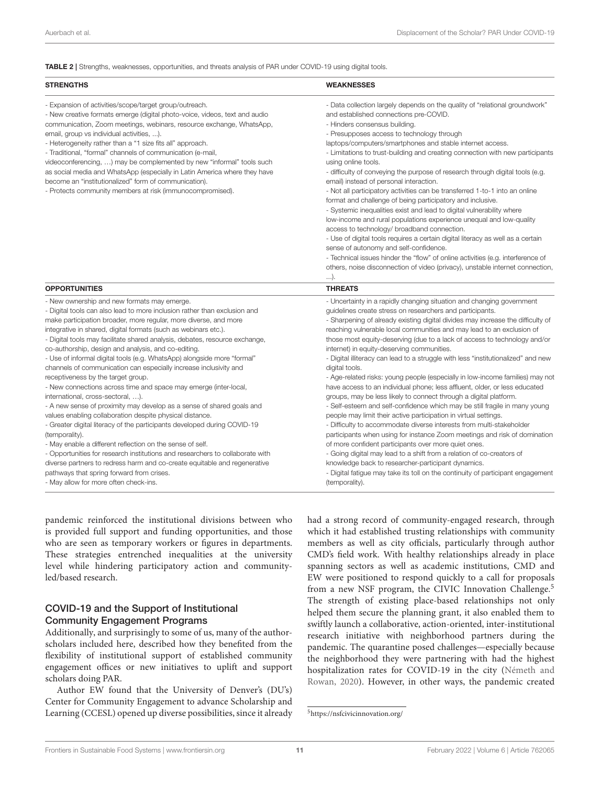<span id="page-11-0"></span>TABLE 2 | Strengths, weaknesses, opportunities, and threats analysis of PAR under COVID-19 using digital tools.

| <b>STRENGTHS</b>                                                                                                                                                                                                                                                                                                                                                                                                                                                                                                                                                                                                                                                                                                                                                                                                                                                                                                                                                                                                                                                                                                                                                   | <b>WEAKNESSES</b>                                                                                                                                                                                                                                                                                                                                                                                                                                                                                                                                                                                                                                                                                                                                                                                                                                                                                                                                                                                                                                                                                                                                                                                                                                                  |
|--------------------------------------------------------------------------------------------------------------------------------------------------------------------------------------------------------------------------------------------------------------------------------------------------------------------------------------------------------------------------------------------------------------------------------------------------------------------------------------------------------------------------------------------------------------------------------------------------------------------------------------------------------------------------------------------------------------------------------------------------------------------------------------------------------------------------------------------------------------------------------------------------------------------------------------------------------------------------------------------------------------------------------------------------------------------------------------------------------------------------------------------------------------------|--------------------------------------------------------------------------------------------------------------------------------------------------------------------------------------------------------------------------------------------------------------------------------------------------------------------------------------------------------------------------------------------------------------------------------------------------------------------------------------------------------------------------------------------------------------------------------------------------------------------------------------------------------------------------------------------------------------------------------------------------------------------------------------------------------------------------------------------------------------------------------------------------------------------------------------------------------------------------------------------------------------------------------------------------------------------------------------------------------------------------------------------------------------------------------------------------------------------------------------------------------------------|
| - Expansion of activities/scope/target group/outreach.<br>- New creative formats emerge (digital photo-voice, videos, text and audio<br>communication, Zoom meetings, webinars, resource exchange, WhatsApp,<br>email, group vs individual activities, ).<br>- Heterogeneity rather than a "1 size fits all" approach.<br>- Traditional, "formal" channels of communication (e-mail,<br>videoconferencing, ) may be complemented by new "informal" tools such<br>as social media and WhatsApp (especially in Latin America where they have<br>become an "institutionalized" form of communication).<br>- Protects community members at risk (immunocompromised).                                                                                                                                                                                                                                                                                                                                                                                                                                                                                                   | - Data collection largely depends on the quality of "relational groundwork"<br>and established connections pre-COVID.<br>- Hinders consensus building.<br>- Presupposes access to technology through<br>laptops/computers/smartphones and stable internet access.<br>- Limitations to trust-building and creating connection with new participants<br>using online tools.<br>- difficulty of conveying the purpose of research through digital tools (e.g.<br>email) instead of personal interaction.<br>- Not all participatory activities can be transferred 1-to-1 into an online<br>format and challenge of being participatory and inclusive.<br>- Systemic inequalities exist and lead to digital vulnerability where<br>low-income and rural populations experience unequal and low-quality<br>access to technology/ broadband connection.<br>- Use of digital tools requires a certain digital literacy as well as a certain<br>sense of autonomy and self-confidence.<br>- Technical issues hinder the "flow" of online activities (e.g. interference of<br>others, noise disconnection of video (privacy), unstable internet connection,<br>).                                                                                                           |
| <b>OPPORTUNITIES</b>                                                                                                                                                                                                                                                                                                                                                                                                                                                                                                                                                                                                                                                                                                                                                                                                                                                                                                                                                                                                                                                                                                                                               | <b>THREATS</b>                                                                                                                                                                                                                                                                                                                                                                                                                                                                                                                                                                                                                                                                                                                                                                                                                                                                                                                                                                                                                                                                                                                                                                                                                                                     |
| - New ownership and new formats may emerge.<br>- Digital tools can also lead to more inclusion rather than exclusion and<br>make participation broader, more regular, more diverse, and more<br>integrative in shared, digital formats (such as webinars etc.).<br>- Digital tools may facilitate shared analysis, debates, resource exchange,<br>co-authorship, design and analysis, and co-editing.<br>- Use of informal digital tools (e.g. WhatsApp) alongside more "formal"<br>channels of communication can especially increase inclusivity and<br>receptiveness by the target group.<br>- New connections across time and space may emerge (inter-local,<br>international, cross-sectoral, ).<br>- A new sense of proximity may develop as a sense of shared goals and<br>values enabling collaboration despite physical distance.<br>- Greater digital literacy of the participants developed during COVID-19<br>(temporality).<br>- May enable a different reflection on the sense of self.<br>- Opportunities for research institutions and researchers to collaborate with<br>diverse partners to redress harm and co-create equitable and regenerative | - Uncertainty in a rapidly changing situation and changing government<br>guidelines create stress on researchers and participants.<br>- Sharpening of already existing digital divides may increase the difficulty of<br>reaching vulnerable local communities and may lead to an exclusion of<br>those most equity-deserving (due to a lack of access to technology and/or<br>internet) in equity-deserving communities.<br>- Digital illiteracy can lead to a struggle with less "institutionalized" and new<br>digital tools.<br>- Age-related risks: young people (especially in low-income families) may not<br>have access to an individual phone; less affluent, older, or less educated<br>groups, may be less likely to connect through a digital platform.<br>- Self-esteem and self-confidence which may be still fragile in many young<br>people may limit their active participation in virtual settings.<br>- Difficulty to accommodate diverse interests from multi-stakeholder<br>participants when using for instance Zoom meetings and risk of domination<br>of more confident participants over more quiet ones.<br>- Going digital may lead to a shift from a relation of co-creators of<br>knowledge back to researcher-participant dynamics. |
| pathways that spring forward from crises.<br>- May allow for more often check-ins                                                                                                                                                                                                                                                                                                                                                                                                                                                                                                                                                                                                                                                                                                                                                                                                                                                                                                                                                                                                                                                                                  | - Digital fatigue may take its toll on the continuity of participant engagement<br>(temporality)                                                                                                                                                                                                                                                                                                                                                                                                                                                                                                                                                                                                                                                                                                                                                                                                                                                                                                                                                                                                                                                                                                                                                                   |

pandemic reinforced the institutional divisions between who is provided full support and funding opportunities, and those who are seen as temporary workers or figures in departments. These strategies entrenched inequalities at the university level while hindering participatory action and communityled/based research.

#### COVID-19 and the Support of Institutional Community Engagement Programs

Additionally, and surprisingly to some of us, many of the authorscholars included here, described how they benefited from the flexibility of institutional support of established community engagement offices or new initiatives to uplift and support scholars doing PAR.

Author EW found that the University of Denver's (DU's) Center for Community Engagement to advance Scholarship and Learning (CCESL) opened up diverse possibilities, since it already had a strong record of community-engaged research, through which it had established trusting relationships with community members as well as city officials, particularly through author CMD's field work. With healthy relationships already in place spanning sectors as well as academic institutions, CMD and EW were positioned to respond quickly to a call for proposals from a new NSF program, the CIVIC Innovation Challenge.<sup>[5](#page-11-1)</sup> The strength of existing place-based relationships not only helped them secure the planning grant, it also enabled them to swiftly launch a collaborative, action-oriented, inter-institutional research initiative with neighborhood partners during the pandemic. The quarantine posed challenges—especially because the neighborhood they were partnering with had the highest hospitalization rates for COVID-19 in the city (Németh and Rowan, [2020\)](#page-14-46). However, in other ways, the pandemic created

<span id="page-11-1"></span><sup>5</sup><https://nsfcivicinnovation.org/>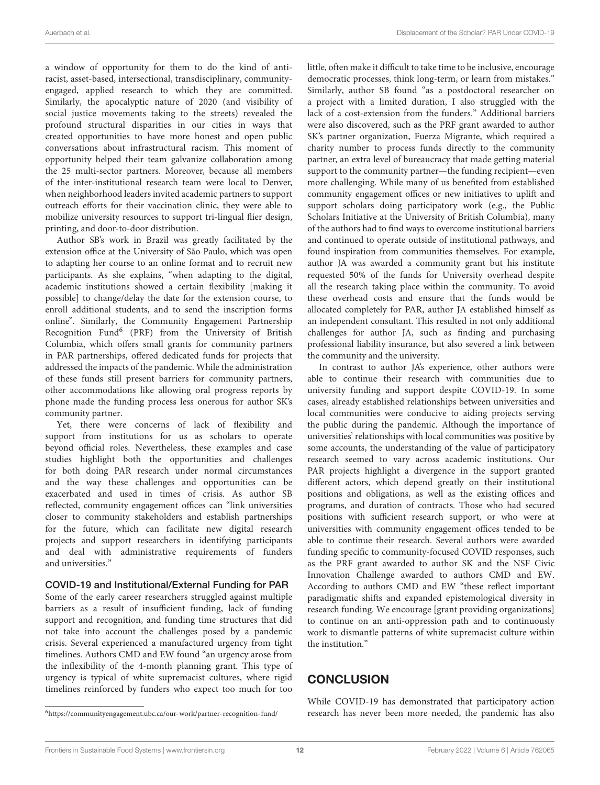a window of opportunity for them to do the kind of antiracist, asset-based, intersectional, transdisciplinary, communityengaged, applied research to which they are committed. Similarly, the apocalyptic nature of 2020 (and visibility of social justice movements taking to the streets) revealed the profound structural disparities in our cities in ways that created opportunities to have more honest and open public conversations about infrastructural racism. This moment of opportunity helped their team galvanize collaboration among the 25 multi-sector partners. Moreover, because all members of the inter-institutional research team were local to Denver, when neighborhood leaders invited academic partners to support outreach efforts for their vaccination clinic, they were able to mobilize university resources to support tri-lingual flier design, printing, and door-to-door distribution.

Author SB's work in Brazil was greatly facilitated by the extension office at the University of São Paulo, which was open to adapting her course to an online format and to recruit new participants. As she explains, "when adapting to the digital, academic institutions showed a certain flexibility [making it possible] to change/delay the date for the extension course, to enroll additional students, and to send the inscription forms online". Similarly, the Community Engagement Partnership Recognition Fund<sup>[6](#page-12-0)</sup> (PRF) from the University of British Columbia, which offers small grants for community partners in PAR partnerships, offered dedicated funds for projects that addressed the impacts of the pandemic. While the administration of these funds still present barriers for community partners, other accommodations like allowing oral progress reports by phone made the funding process less onerous for author SK's community partner.

Yet, there were concerns of lack of flexibility and support from institutions for us as scholars to operate beyond official roles. Nevertheless, these examples and case studies highlight both the opportunities and challenges for both doing PAR research under normal circumstances and the way these challenges and opportunities can be exacerbated and used in times of crisis. As author SB reflected, community engagement offices can "link universities closer to community stakeholders and establish partnerships for the future, which can facilitate new digital research projects and support researchers in identifying participants and deal with administrative requirements of funders and universities."

#### COVID-19 and Institutional/External Funding for PAR

Some of the early career researchers struggled against multiple barriers as a result of insufficient funding, lack of funding support and recognition, and funding time structures that did not take into account the challenges posed by a pandemic crisis. Several experienced a manufactured urgency from tight timelines. Authors CMD and EW found "an urgency arose from the inflexibility of the 4-month planning grant. This type of urgency is typical of white supremacist cultures, where rigid timelines reinforced by funders who expect too much for too little, often make it difficult to take time to be inclusive, encourage democratic processes, think long-term, or learn from mistakes." Similarly, author SB found "as a postdoctoral researcher on a project with a limited duration, I also struggled with the lack of a cost-extension from the funders." Additional barriers were also discovered, such as the PRF grant awarded to author SK's partner organization, Fuerza Migrante, which required a charity number to process funds directly to the community partner, an extra level of bureaucracy that made getting material support to the community partner—the funding recipient—even more challenging. While many of us benefited from established community engagement offices or new initiatives to uplift and support scholars doing participatory work (e.g., the Public Scholars Initiative at the University of British Columbia), many of the authors had to find ways to overcome institutional barriers and continued to operate outside of institutional pathways, and found inspiration from communities themselves. For example, author JA was awarded a community grant but his institute requested 50% of the funds for University overhead despite all the research taking place within the community. To avoid these overhead costs and ensure that the funds would be allocated completely for PAR, author JA established himself as an independent consultant. This resulted in not only additional challenges for author JA, such as finding and purchasing professional liability insurance, but also severed a link between the community and the university.

In contrast to author JA's experience, other authors were able to continue their research with communities due to university funding and support despite COVID-19. In some cases, already established relationships between universities and local communities were conducive to aiding projects serving the public during the pandemic. Although the importance of universities' relationships with local communities was positive by some accounts, the understanding of the value of participatory research seemed to vary across academic institutions. Our PAR projects highlight a divergence in the support granted different actors, which depend greatly on their institutional positions and obligations, as well as the existing offices and programs, and duration of contracts. Those who had secured positions with sufficient research support, or who were at universities with community engagement offices tended to be able to continue their research. Several authors were awarded funding specific to community-focused COVID responses, such as the PRF grant awarded to author SK and the NSF Civic Innovation Challenge awarded to authors CMD and EW. According to authors CMD and EW "these reflect important paradigmatic shifts and expanded epistemological diversity in research funding. We encourage [grant providing organizations] to continue on an anti-oppression path and to continuously work to dismantle patterns of white supremacist culture within the institution."

#### **CONCLUSION**

While COVID-19 has demonstrated that participatory action research has never been more needed, the pandemic has also

<span id="page-12-0"></span><sup>6</sup><https://communityengagement.ubc.ca/our-work/partner-recognition-fund/>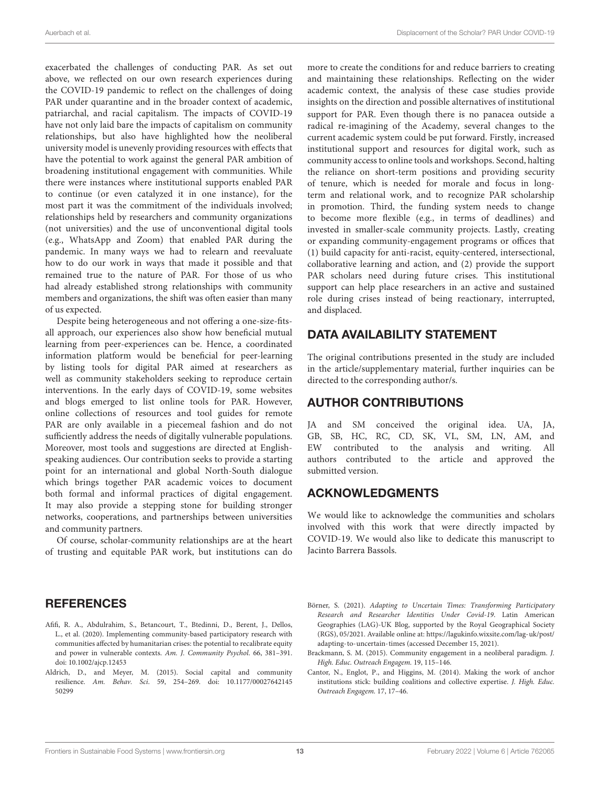exacerbated the challenges of conducting PAR. As set out above, we reflected on our own research experiences during the COVID-19 pandemic to reflect on the challenges of doing PAR under quarantine and in the broader context of academic, patriarchal, and racial capitalism. The impacts of COVID-19 have not only laid bare the impacts of capitalism on community relationships, but also have highlighted how the neoliberal university model is unevenly providing resources with effects that have the potential to work against the general PAR ambition of broadening institutional engagement with communities. While there were instances where institutional supports enabled PAR to continue (or even catalyzed it in one instance), for the most part it was the commitment of the individuals involved; relationships held by researchers and community organizations (not universities) and the use of unconventional digital tools (e.g., WhatsApp and Zoom) that enabled PAR during the pandemic. In many ways we had to relearn and reevaluate how to do our work in ways that made it possible and that remained true to the nature of PAR. For those of us who had already established strong relationships with community members and organizations, the shift was often easier than many of us expected.

Despite being heterogeneous and not offering a one-size-fitsall approach, our experiences also show how beneficial mutual learning from peer-experiences can be. Hence, a coordinated information platform would be beneficial for peer-learning by listing tools for digital PAR aimed at researchers as well as community stakeholders seeking to reproduce certain interventions. In the early days of COVID-19, some websites and blogs emerged to list online tools for PAR. However, online collections of resources and tool guides for remote PAR are only available in a piecemeal fashion and do not sufficiently address the needs of digitally vulnerable populations. Moreover, most tools and suggestions are directed at Englishspeaking audiences. Our contribution seeks to provide a starting point for an international and global North-South dialogue which brings together PAR academic voices to document both formal and informal practices of digital engagement. It may also provide a stepping stone for building stronger networks, cooperations, and partnerships between universities and community partners.

Of course, scholar-community relationships are at the heart of trusting and equitable PAR work, but institutions can do

#### more to create the conditions for and reduce barriers to creating and maintaining these relationships. Reflecting on the wider academic context, the analysis of these case studies provide insights on the direction and possible alternatives of institutional support for PAR. Even though there is no panacea outside a radical re-imagining of the Academy, several changes to the current academic system could be put forward. Firstly, increased institutional support and resources for digital work, such as community access to online tools and workshops. Second, halting the reliance on short-term positions and providing security of tenure, which is needed for morale and focus in longterm and relational work, and to recognize PAR scholarship in promotion. Third, the funding system needs to change to become more flexible (e.g., in terms of deadlines) and invested in smaller-scale community projects. Lastly, creating or expanding community-engagement programs or offices that (1) build capacity for anti-racist, equity-centered, intersectional, collaborative learning and action, and (2) provide the support PAR scholars need during future crises. This institutional support can help place researchers in an active and sustained role during crises instead of being reactionary, interrupted, and displaced.

#### <span id="page-13-4"></span>DATA AVAILABILITY STATEMENT

The original contributions presented in the study are included in the article/supplementary material, further inquiries can be directed to the corresponding author/s.

#### AUTHOR CONTRIBUTIONS

JA and SM conceived the original idea. UA, JA, GB, SB, HC, RC, CD, SK, VL, SM, LN, AM, and EW contributed to the analysis and writing. All authors contributed to the article and approved the submitted version.

#### ACKNOWLEDGMENTS

We would like to acknowledge the communities and scholars involved with this work that were directly impacted by COVID-19. We would also like to dedicate this manuscript to Jacinto Barrera Bassols.

#### **REFERENCES**

- <span id="page-13-3"></span>Afifi, R. A., Abdulrahim, S., Betancourt, T., Btedinni, D., Berent, J., Dellos, L., et al. (2020). Implementing community-based participatory research with communities affected by humanitarian crises: the potential to recalibrate equity and power in vulnerable contexts. Am. J. Community Psychol. 66, 381–391. doi: [10.1002/ajcp.12453](https://doi.org/10.1002/ajcp.12453)
- <span id="page-13-0"></span>Aldrich, D., and Meyer, M. (2015). Social capital and community resilience. Am. Behav. Sci[. 59, 254–269. doi: 10.1177/00027642145](https://doi.org/10.1177/0002764214550299) 50299
- <span id="page-13-5"></span>Börner, S. (2021). Adapting to Uncertain Times: Transforming Participatory Research and Researcher Identities Under Covid-19. Latin American Geographies (LAG)-UK Blog, supported by the Royal Geographical Society (RGS), 05/2021. Available online at: [https://lagukinfo.wixsite.com/lag-uk/post/](https://lagukinfo.wixsite.com/lag-uk/post/adapting-to-uncertain-times) [adapting-to-uncertain-times](https://lagukinfo.wixsite.com/lag-uk/post/adapting-to-uncertain-times) (accessed December 15, 2021).
- <span id="page-13-1"></span>Brackmann, S. M. (2015). Community engagement in a neoliberal paradigm. J. High. Educ. Outreach Engagem. 19, 115–146.
- <span id="page-13-2"></span>Cantor, N., Englot, P., and Higgins, M. (2014). Making the work of anchor institutions stick: building coalitions and collective expertise. J. High. Educ. Outreach Engagem. 17, 17–46.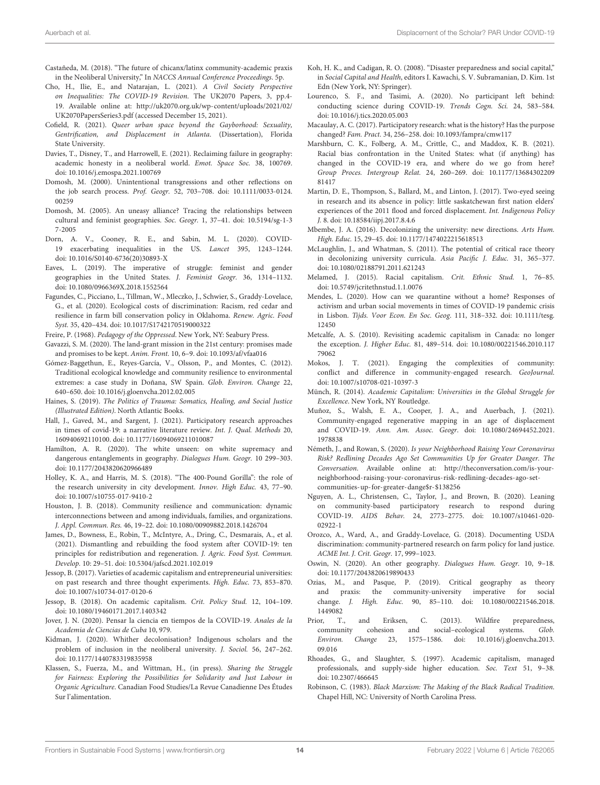- <span id="page-14-44"></span><span id="page-14-22"></span>Castañeda, M. (2018). "The future of chicanx/latinx community-academic praxis in the Neoliberal University," In NACCS Annual Conference Proceedings. 5p.
- <span id="page-14-31"></span>Cho, H., Ilie, E., and Natarajan, L. (2021). A Civil Society Perspective on Inequalities: The COVID-19 Revision. The UK2070 Papers, 3, pp.4- 19. Available online at: [http://uk2070.org.uk/wp-content/uploads/2021/02/](http://uk2070.org.uk/wp-content/uploads/2021/02/UK2070PapersSeries3.pdf) [UK2070PapersSeries3.pdf](http://uk2070.org.uk/wp-content/uploads/2021/02/UK2070PapersSeries3.pdf) (accessed December 15, 2021).
- Cofield, R. (2021). Queer urban space beyond the Gayborhood: Sexuality, Gentrification, and Displacement in Atlanta. (Dissertation), Florida State University.
- <span id="page-14-12"></span>Davies, T., Disney, T., and Harrowell, E. (2021). Reclaiming failure in geography: academic honesty in a neoliberal world. Emot. Space Soc. 38, 100769. doi: [10.1016/j.emospa.2021.100769](https://doi.org/10.1016/j.emospa.2021.100769)
- <span id="page-14-19"></span>Domosh, M. (2000). Unintentional transgressions and other reflections on the job search process. Prof. Geogr. [52, 703–708. doi: 10.1111/0033-0124.](https://doi.org/10.1111/0033-0124.00259) 00259
- <span id="page-14-21"></span>Domosh, M. (2005). An uneasy alliance? Tracing the relationships between [cultural and feminist geographies.](https://doi.org/10.5194/sg-1-37-2005) Soc. Geogr. 1, 37–41. doi: 10.5194/sg-1-3 7-2005
- <span id="page-14-0"></span>Dorn, A. V., Cooney, R. E., and Sabin, M. L. (2020). COVID-19 exacerbating inequalities in the US. Lancet 395, 1243–1244. doi: [10.1016/S0140-6736\(20\)30893-X](https://doi.org/10.1016/S0140-6736(20)30893-X)
- <span id="page-14-20"></span>Eaves, L. (2019). The imperative of struggle: feminist and gender geographies in the United States. J. Feminist Geogr. 36, 1314–1132. doi: [10.1080/0966369X.2018.1552564](https://doi.org/10.1080/0966369X.2018.1552564)
- <span id="page-14-36"></span>Fagundes, C., Picciano, L., Tillman, W., Mleczko, J., Schwier, S., Graddy-Lovelace, G., et al. (2020). Ecological costs of discrimination: Racism, red cedar and resilience in farm bill conservation policy in Oklahoma. Renew. Agric. Food Syst. 35, 420–434. doi: [10.1017/S1742170519000322](https://doi.org/10.1017/S1742170519000322)

<span id="page-14-16"></span>Freire, P. (1968). Pedagogy of the Oppressed. New York, NY: Seabury Press.

- <span id="page-14-27"></span>Gavazzi, S. M. (2020). The land-grant mission in the 21st century: promises made and promises to be kept. Anim. Front. 10, 6–9. doi: [10.1093/af/vfaa016](https://doi.org/10.1093/af/vfaa016)
- <span id="page-14-1"></span>Gómez-Baggethun, E., Reyes-García, V., Olsson, P., and Montes, C. (2012). Traditional ecological knowledge and community resilience to environmental extremes: a case study in Doñana, SW Spain. Glob. Environ. Change 22, 640–650. doi: [10.1016/j.gloenvcha.2012.02.005](https://doi.org/10.1016/j.gloenvcha.2012.02.005)
- <span id="page-14-34"></span>Haines, S. (2019). The Politics of Trauma: Somatics, Healing, and Social Justice (Illustrated Edition). North Atlantic Books.
- <span id="page-14-29"></span>Hall, J., Gaved, M., and Sargent, J. (2021). Participatory research approaches in times of covid-19: a narrative literature review. Int. J. Qual. Methods 20, 160940692110100. doi: [10.1177/16094069211010087](https://doi.org/10.1177/16094069211010087)
- <span id="page-14-24"></span>Hamilton, A. R. (2020). The white unseen: on white supremacy and dangerous entanglements in geography. Dialogues Hum. Geogr. 10 299–303. doi: [10.1177/2043820620966489](https://doi.org/10.1177/2043820620966489)
- <span id="page-14-10"></span>Holley, K. A., and Harris, M. S. (2018). "The 400-Pound Gorilla": the role of the research university in city development. Innov. High Educ. 43, 77–90. doi: [10.1007/s10755-017-9410-2](https://doi.org/10.1007/s10755-017-9410-2)
- <span id="page-14-40"></span>Houston, J. B. (2018). Community resilience and communication: dynamic interconnections between and among individuals, families, and organizations. J. Appl. Commun. Res. 46, 19–22. doi: [10.1080/00909882.2018.1426704](https://doi.org/10.1080/00909882.2018.1426704)
- <span id="page-14-28"></span>James, D., Bowness, E., Robin, T., McIntyre, A., Dring, C., Desmarais, A., et al. (2021). Dismantling and rebuilding the food system after COVID-19: ten principles for redistribution and regeneration. J. Agric. Food Syst. Commun. Develop. 10: 29–51. doi: [10.5304/jafscd.2021.102.019](https://doi.org/10.5304/jafscd.2021.102.019)
- <span id="page-14-5"></span>Jessop, B. (2017). Varieties of academic capitalism and entrepreneurial universities: on past research and three thought experiments. High. Educ. 73, 853–870. doi: [10.1007/s10734-017-0120-6](https://doi.org/10.1007/s10734-017-0120-6)
- <span id="page-14-6"></span>Jessop, B. (2018). On academic capitalism. Crit. Policy Stud. 12, 104–109. doi: [10.1080/19460171.2017.1403342](https://doi.org/10.1080/19460171.2017.1403342)
- <span id="page-14-9"></span>Jover, J. N. (2020). Pensar la ciencia en tiempos de la COVID-19. Anales de la Academia de Ciencias de Cuba 10, 979.
- <span id="page-14-23"></span>Kidman, J. (2020). Whither decolonisation? Indigenous scholars and the problem of inclusion in the neoliberal university. J. Sociol. 56, 247–262. doi: [10.1177/1440783319835958](https://doi.org/10.1177/1440783319835958)
- <span id="page-14-45"></span>Klassen, S., Fuerza, M., and Wittman, H., (in press). Sharing the Struggle for Fairness: Exploring the Possibilities for Solidarity and Just Labour in Organic Agriculture. Canadian Food Studies/La Revue Canadienne Des Études Sur l'alimentation.
- <span id="page-14-43"></span><span id="page-14-42"></span><span id="page-14-37"></span>Koh, H. K., and Cadigan, R. O. (2008). "Disaster preparedness and social capital," in Social Capital and Health, editors I. Kawachi, S. V. Subramanian, D. Kim. 1st Edn (New York, NY: Springer).
- <span id="page-14-33"></span>Lourenco, S. F., and Tasimi, A. (2020). No participant left behind: conducting science during COVID-19. Trends Cogn. Sci. 24, 583–584. doi: [10.1016/j.tics.2020.05.003](https://doi.org/10.1016/j.tics.2020.05.003)
- <span id="page-14-26"></span>Macaulay, A. C. (2017). Participatory research: what is the history? Has the purpose changed? Fam. Pract. 34, 256–258. doi: [10.1093/fampra/cmw117](https://doi.org/10.1093/fampra/cmw117)
- <span id="page-14-4"></span>Marshburn, C. K., Folberg, A. M., Crittle, C., and Maddox, K. B. (2021). Racial bias confrontation in the United States: what (if anything) has changed in the COVID-19 era, and where do we go from here? Group Proces. Intergroup Relat. [24, 260–269. doi: 10.1177/13684302209](https://doi.org/10.1177/1368430220981417) 81417
- <span id="page-14-39"></span>Martin, D. E., Thompson, S., Ballard, M., and Linton, J. (2017). Two-eyed seeing in research and its absence in policy: little saskatchewan first nation elders' experiences of the 2011 flood and forced displacement. Int. Indigenous Policy J. 8. doi: [10.18584/iipj.2017.8.4.6](https://doi.org/10.18584/iipj.2017.8.4.6)
- <span id="page-14-18"></span>Mbembe, J. A. (2016). Decolonizing the university: new directions. Arts Hum. High. Educ. 15, 29–45. doi: [10.1177/1474022215618513](https://doi.org/10.1177/1474022215618513)
- <span id="page-14-17"></span>McLaughlin, J., and Whatman, S. (2011). The potential of critical race theory in decolonizing university curricula. Asia Pacific J. Educ. 31, 365–377. doi: [10.1080/02188791.2011.621243](https://doi.org/10.1080/02188791.2011.621243)
- <span id="page-14-15"></span>Melamed, J. (2015). Racial capitalism. Crit. Ethnic Stud. 1, 76–85. doi: [10.5749/jcritethnstud.1.1.0076](https://doi.org/10.5749/jcritethnstud.1.1.0076)
- <span id="page-14-41"></span><span id="page-14-3"></span>Mendes, L. (2020). How can we quarantine without a home? Responses of activism and urban social movements in times of COVID-19 pandemic crisis in Lisbon. Tijds. Voor Econ. En Soc. Geog[. 111, 318–332. doi: 10.1111/tesg.](https://doi.org/10.1111/tesg.12450) 12450
- <span id="page-14-13"></span>Metcalfe, A. S. (2010). Revisiting academic capitalism in Canada: no longer the exception. J. Higher Educ. [81, 489–514. doi: 10.1080/00221546.2010.117](https://doi.org/10.1080/00221546.2010.11779062) 79062
- <span id="page-14-30"></span>Mokos, J. T. (2021). Engaging the complexities of community: conflict and difference in community-engaged research. GeoJournal. doi: [10.1007/s10708-021-10397-3](https://doi.org/10.1007/s10708-021-10397-3)
- <span id="page-14-8"></span>Münch, R. (2014). Academic Capitalism: Universities in the Global Struggle for Excellence. New York, NY Routledge.
- <span id="page-14-2"></span>Muñoz, S., Walsh, E. A., Cooper, J. A., and Auerbach, J. (2021). Community-engaged regenerative mapping in an age of displacement and COVID-19. Ann. Am. Assoc. Geogr[. doi: 10.1080/24694452.2021.](https://doi.org/10.1080/24694452.2021.1978838) 1978838
- <span id="page-14-46"></span>Németh, J., and Rowan, S. (2020). Is your Neighborhood Raising Your Coronavirus Risk? Redlining Decades Ago Set Communities Up for Greater Danger. The Conversation. Available online at: [http://theconversation.com/is-your](http://theconversation.com/is-your-neighborhood-raising-your-coronavirus-risk-redlining-decades-ago-set-communities-up-for-greater-dange$r-$138256)[neighborhood-raising-your-coronavirus-risk-redlining-decades-ago-set](http://theconversation.com/is-your-neighborhood-raising-your-coronavirus-risk-redlining-decades-ago-set-communities-up-for-greater-dange$r-$138256)[communities-up-for-greater-dange\\$r-\\$138256](http://theconversation.com/is-your-neighborhood-raising-your-coronavirus-risk-redlining-decades-ago-set-communities-up-for-greater-dange$r-$138256)
- <span id="page-14-32"></span>Nguyen, A. L., Christensen, C., Taylor, J., and Brown, B. (2020). Leaning on community-based participatory research to respond during COVID-19. AIDS Behav. [24, 2773–2775. doi: 10.1007/s10461-020-](https://doi.org/10.1007/s10461-020-02922-1) 02922-1
- <span id="page-14-35"></span>Orozco, A., Ward, A., and Graddy-Lovelace, G. (2018). Documenting USDA discrimination: community-partnered research on farm policy for land justice. ACME Int. J. Crit. Geogr. 17, 999–1023.
- <span id="page-14-25"></span>Oswin, N. (2020). An other geography. Dialogues Hum. Geogr. 10, 9–18. doi: [10.1177/2043820619890433](https://doi.org/10.1177/2043820619890433)
- <span id="page-14-11"></span>Ozias, M., and Pasque, P. (2019). Critical geography as theory and praxis: the community-university imperative for social change. J. High. Educ. [90, 85–110. doi: 10.1080/00221546.2018.](https://doi.org/10.1080/00221546.2018.1449082)
- <span id="page-14-38"></span>1449082<br>Prior, T. T., and Eriksen, C. (2013). Wildfire preparedness, community cohesion and social–ecological systems. Glob. Environ. Change [23, 1575–1586. doi: 10.1016/j.gloenvcha.2013.](https://doi.org/10.1016/j.gloenvcha.2013.09.016) 09.016
- <span id="page-14-7"></span>Rhoades, G., and Slaughter, S. (1997). Academic capitalism, managed professionals, and supply-side higher education. Soc. Text 51, 9–38. doi: [10.2307/466645](https://doi.org/10.2307/466645)
- <span id="page-14-14"></span>Robinson, C. (1983). Black Marxism: The Making of the Black Radical Tradition. Chapel Hill, NC: University of North Carolina Press.